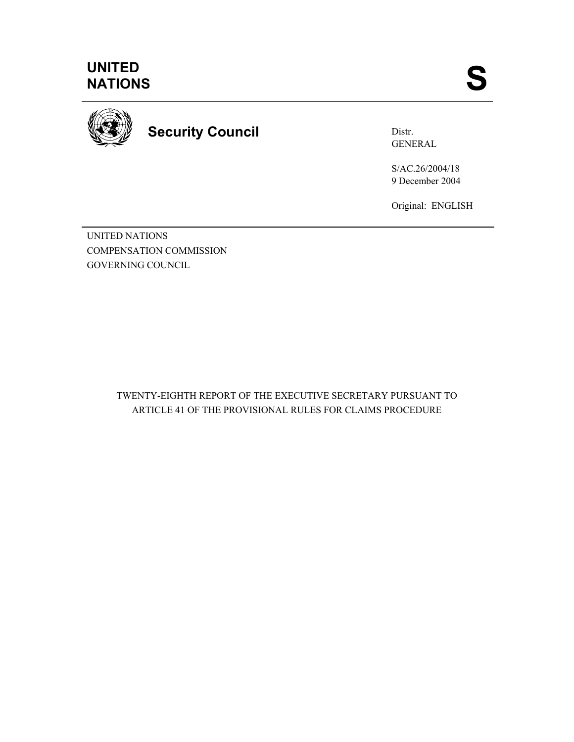

**Security Council** 

Distr. GENERAL

S/AC.26/2004/18 9 December 2004

Original: ENGLISH

UNITED NATIONS COMPENSATION COMMISSION GOVERNING COUNCIL

> TWENTY-EIGHTH REPORT OF THE EXECUTIVE SECRETARY PURSUANT TO ARTICLE 41 OF THE PROVISIONAL RULES FOR CLAIMS PROCEDURE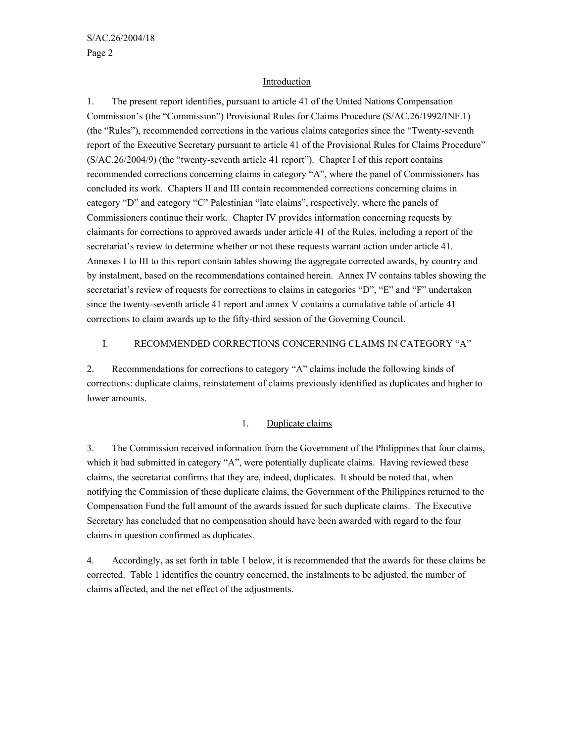#### Introduction

1. The present report identifies, pursuant to article 41 of the United Nations Compensation Commission's (the "Commission") Provisional Rules for Claims Procedure (S/AC.26/1992/INF.1) (the "Rules"), recommended corrections in the various claims categories since the "Twenty-seventh report of the Executive Secretary pursuant to article 41 of the Provisional Rules for Claims Procedure" (S/AC.26/2004/9) (the "twenty-seventh article 41 report"). Chapter I of this report contains recommended corrections concerning claims in category "A", where the panel of Commissioners has concluded its work. Chapters II and III contain recommended corrections concerning claims in category "D" and category "C" Palestinian "late claims", respectively, where the panels of Commissioners continue their work. Chapter IV provides information concerning requests by claimants for corrections to approved awards under article 41 of the Rules, including a report of the secretariat's review to determine whether or not these requests warrant action under article 41. Annexes I to III to this report contain tables showing the aggregate corrected awards, by country and by instalment, based on the recommendations contained herein. Annex IV contains tables showing the secretariat's review of requests for corrections to claims in categories "D", "E" and "F" undertaken since the twenty-seventh article 41 report and annex V contains a cumulative table of article 41 corrections to claim awards up to the fifty-third session of the Governing Council.

#### I. RECOMMENDED CORRECTIONS CONCERNING CLAIMS IN CATEGORY "A"

2. Recommendations for corrections to category "A" claims include the following kinds of corrections: duplicate claims, reinstatement of claims previously identified as duplicates and higher to lower amounts.

# 1. Duplicate claims

3. The Commission received information from the Government of the Philippines that four claims, which it had submitted in category "A", were potentially duplicate claims. Having reviewed these claims, the secretariat confirms that they are, indeed, duplicates. It should be noted that, when notifying the Commission of these duplicate claims, the Government of the Philippines returned to the Compensation Fund the full amount of the awards issued for such duplicate claims. The Executive Secretary has concluded that no compensation should have been awarded with regard to the four claims in question confirmed as duplicates.

4. Accordingly, as set forth in table 1 below, it is recommended that the awards for these claims be corrected. Table 1 identifies the country concerned, the instalments to be adjusted, the number of claims affected, and the net effect of the adjustments.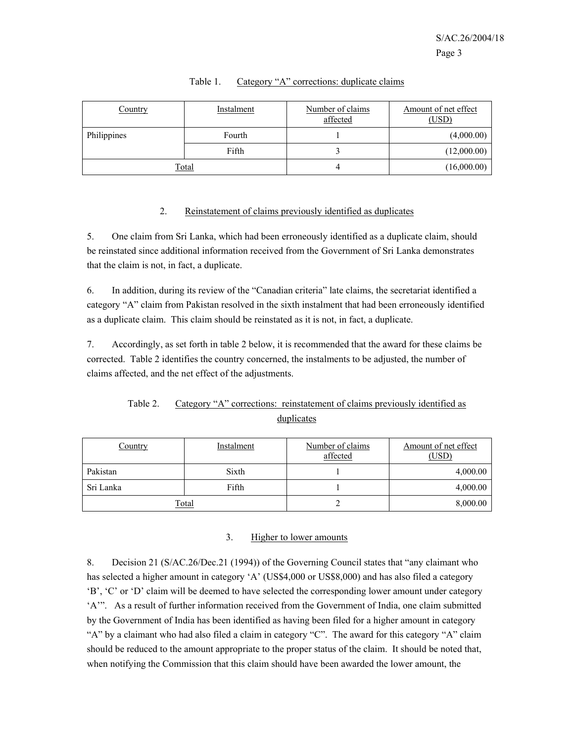| Country     | Instalment | Number of claims<br>affected | Amount of net effect<br>(USD) |
|-------------|------------|------------------------------|-------------------------------|
| Philippines | Fourth     |                              | (4,000.00)                    |
|             | Fifth      |                              | (12,000.00)                   |
|             | Total      |                              | (16,000.00)                   |

#### Table 1. Category "A" corrections: duplicate claims

#### 2. Reinstatement of claims previously identified as duplicates

5. One claim from Sri Lanka, which had been erroneously identified as a duplicate claim, should be reinstated since additional information received from the Government of Sri Lanka demonstrates that the claim is not, in fact, a duplicate.

6. In addition, during its review of the "Canadian criteria" late claims, the secretariat identified a category "A" claim from Pakistan resolved in the sixth instalment that had been erroneously identified as a duplicate claim. This claim should be reinstated as it is not, in fact, a duplicate.

7. Accordingly, as set forth in table 2 below, it is recommended that the award for these claims be corrected. Table 2 identifies the country concerned, the instalments to be adjusted, the number of claims affected, and the net effect of the adjustments.

# Table 2. Category "A" corrections: reinstatement of claims previously identified as duplicates

| Country   | Instalment | Number of claims<br>affected | Amount of net effect<br>(USD) |
|-----------|------------|------------------------------|-------------------------------|
| Pakistan  | Sixth      |                              | 4,000.00                      |
| Sri Lanka | Fifth      |                              | 4,000.00                      |
|           | Total      |                              | 8,000.00                      |

#### 3. Higher to lower amounts

8. Decision 21 (S/AC.26/Dec.21 (1994)) of the Governing Council states that "any claimant who has selected a higher amount in category 'A' (US\$4,000 or US\$8,000) and has also filed a category 'B', 'C' or 'D' claim will be deemed to have selected the corresponding lower amount under category 'A'". As a result of further information received from the Government of India, one claim submitted by the Government of India has been identified as having been filed for a higher amount in category "A" by a claimant who had also filed a claim in category "C". The award for this category "A" claim should be reduced to the amount appropriate to the proper status of the claim. It should be noted that, when notifying the Commission that this claim should have been awarded the lower amount, the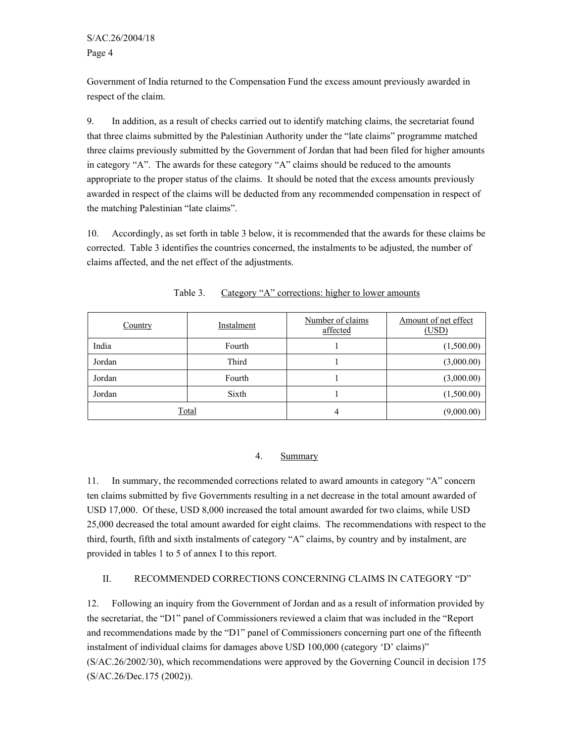Government of India returned to the Compensation Fund the excess amount previously awarded in respect of the claim.

9. In addition, as a result of checks carried out to identify matching claims, the secretariat found that three claims submitted by the Palestinian Authority under the "late claims" programme matched three claims previously submitted by the Government of Jordan that had been filed for higher amounts in category "A". The awards for these category "A" claims should be reduced to the amounts appropriate to the proper status of the claims. It should be noted that the excess amounts previously awarded in respect of the claims will be deducted from any recommended compensation in respect of the matching Palestinian "late claims".

10. Accordingly, as set forth in table 3 below, it is recommended that the awards for these claims be corrected. Table 3 identifies the countries concerned, the instalments to be adjusted, the number of claims affected, and the net effect of the adjustments.

| Country | Instalment | Number of claims<br>affected | Amount of net effect<br>(USD) |
|---------|------------|------------------------------|-------------------------------|
| India   | Fourth     |                              | (1,500.00)                    |
| Jordan  | Third      |                              | (3,000.00)                    |
| Jordan  | Fourth     |                              | (3,000.00)                    |
| Jordan  | Sixth      |                              | (1,500.00)                    |
| Total   |            | 4                            | (9,000.00)                    |

Table 3. Category "A" corrections: higher to lower amounts

### 4. Summary

11. In summary, the recommended corrections related to award amounts in category "A" concern ten claims submitted by five Governments resulting in a net decrease in the total amount awarded of USD 17,000. Of these, USD 8,000 increased the total amount awarded for two claims, while USD 25,000 decreased the total amount awarded for eight claims. The recommendations with respect to the third, fourth, fifth and sixth instalments of category "A" claims, by country and by instalment, are provided in tables 1 to 5 of annex I to this report.

#### II. RECOMMENDED CORRECTIONS CONCERNING CLAIMS IN CATEGORY "D"

12. Following an inquiry from the Government of Jordan and as a result of information provided by the secretariat, the "D1" panel of Commissioners reviewed a claim that was included in the "Report and recommendations made by the "D1" panel of Commissioners concerning part one of the fifteenth instalment of individual claims for damages above USD 100,000 (category 'D' claims)" (S/AC.26/2002/30), which recommendations were approved by the Governing Council in decision 175 (S/AC.26/Dec.175 (2002)).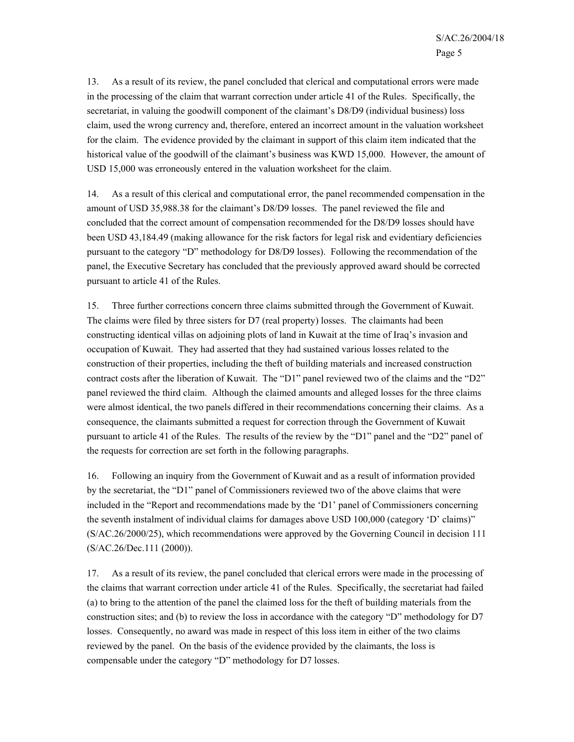13. As a result of its review, the panel concluded that clerical and computational errors were made in the processing of the claim that warrant correction under article 41 of the Rules. Specifically, the secretariat, in valuing the goodwill component of the claimant's D8/D9 (individual business) loss claim, used the wrong currency and, therefore, entered an incorrect amount in the valuation worksheet for the claim. The evidence provided by the claimant in support of this claim item indicated that the historical value of the goodwill of the claimant's business was KWD 15,000. However, the amount of USD 15,000 was erroneously entered in the valuation worksheet for the claim.

14. As a result of this clerical and computational error, the panel recommended compensation in the amount of USD 35,988.38 for the claimant's D8/D9 losses. The panel reviewed the file and concluded that the correct amount of compensation recommended for the D8/D9 losses should have been USD 43,184.49 (making allowance for the risk factors for legal risk and evidentiary deficiencies pursuant to the category "D" methodology for D8/D9 losses). Following the recommendation of the panel, the Executive Secretary has concluded that the previously approved award should be corrected pursuant to article 41 of the Rules.

15. Three further corrections concern three claims submitted through the Government of Kuwait. The claims were filed by three sisters for D7 (real property) losses. The claimants had been constructing identical villas on adjoining plots of land in Kuwait at the time of Iraq's invasion and occupation of Kuwait. They had asserted that they had sustained various losses related to the construction of their properties, including the theft of building materials and increased construction contract costs after the liberation of Kuwait. The "D1" panel reviewed two of the claims and the "D2" panel reviewed the third claim. Although the claimed amounts and alleged losses for the three claims were almost identical, the two panels differed in their recommendations concerning their claims. As a consequence, the claimants submitted a request for correction through the Government of Kuwait pursuant to article 41 of the Rules. The results of the review by the "D1" panel and the "D2" panel of the requests for correction are set forth in the following paragraphs.

16. Following an inquiry from the Government of Kuwait and as a result of information provided by the secretariat, the "D1" panel of Commissioners reviewed two of the above claims that were included in the "Report and recommendations made by the 'D1' panel of Commissioners concerning the seventh instalment of individual claims for damages above USD 100,000 (category 'D' claims)" (S/AC.26/2000/25), which recommendations were approved by the Governing Council in decision 111 (S/AC.26/Dec.111 (2000)).

17. As a result of its review, the panel concluded that clerical errors were made in the processing of the claims that warrant correction under article 41 of the Rules. Specifically, the secretariat had failed (a) to bring to the attention of the panel the claimed loss for the theft of building materials from the construction sites; and (b) to review the loss in accordance with the category "D" methodology for D7 losses. Consequently, no award was made in respect of this loss item in either of the two claims reviewed by the panel. On the basis of the evidence provided by the claimants, the loss is compensable under the category "D" methodology for D7 losses.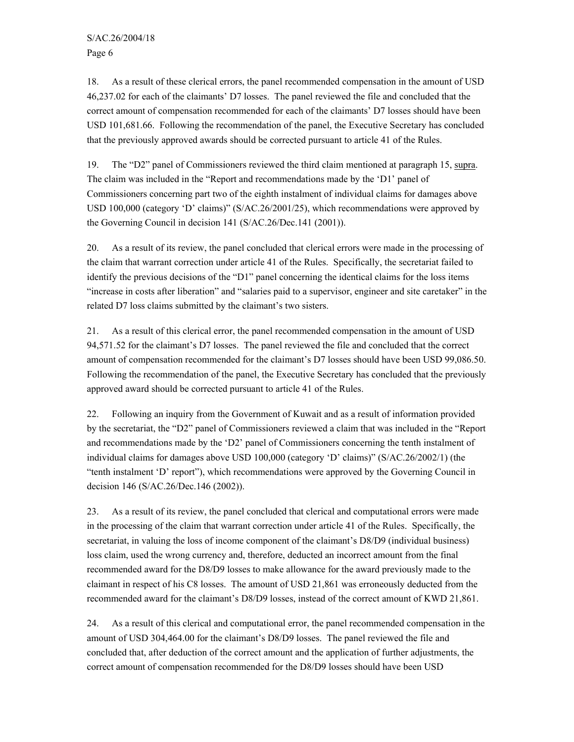18. As a result of these clerical errors, the panel recommended compensation in the amount of USD 46,237.02 for each of the claimants' D7 losses. The panel reviewed the file and concluded that the correct amount of compensation recommended for each of the claimants' D7 losses should have been USD 101,681.66. Following the recommendation of the panel, the Executive Secretary has concluded that the previously approved awards should be corrected pursuant to article 41 of the Rules.

19. The "D2" panel of Commissioners reviewed the third claim mentioned at paragraph 15, supra. The claim was included in the "Report and recommendations made by the 'D1' panel of Commissioners concerning part two of the eighth instalment of individual claims for damages above USD 100,000 (category 'D' claims)" (S/AC.26/2001/25), which recommendations were approved by the Governing Council in decision 141 (S/AC.26/Dec.141 (2001)).

20. As a result of its review, the panel concluded that clerical errors were made in the processing of the claim that warrant correction under article 41 of the Rules. Specifically, the secretariat failed to identify the previous decisions of the "D1" panel concerning the identical claims for the loss items "increase in costs after liberation" and "salaries paid to a supervisor, engineer and site caretaker" in the related D7 loss claims submitted by the claimant's two sisters.

21. As a result of this clerical error, the panel recommended compensation in the amount of USD 94,571.52 for the claimant's D7 losses. The panel reviewed the file and concluded that the correct amount of compensation recommended for the claimant's D7 losses should have been USD 99,086.50. Following the recommendation of the panel, the Executive Secretary has concluded that the previously approved award should be corrected pursuant to article 41 of the Rules.

22. Following an inquiry from the Government of Kuwait and as a result of information provided by the secretariat, the "D2" panel of Commissioners reviewed a claim that was included in the "Report and recommendations made by the 'D2' panel of Commissioners concerning the tenth instalment of individual claims for damages above USD 100,000 (category 'D' claims)" (S/AC.26/2002/1) (the "tenth instalment 'D' report"), which recommendations were approved by the Governing Council in decision 146 (S/AC.26/Dec.146 (2002)).

23. As a result of its review, the panel concluded that clerical and computational errors were made in the processing of the claim that warrant correction under article 41 of the Rules. Specifically, the secretariat, in valuing the loss of income component of the claimant's D8/D9 (individual business) loss claim, used the wrong currency and, therefore, deducted an incorrect amount from the final recommended award for the D8/D9 losses to make allowance for the award previously made to the claimant in respect of his C8 losses. The amount of USD 21,861 was erroneously deducted from the recommended award for the claimant's D8/D9 losses, instead of the correct amount of KWD 21,861.

24. As a result of this clerical and computational error, the panel recommended compensation in the amount of USD 304,464.00 for the claimant's D8/D9 losses. The panel reviewed the file and concluded that, after deduction of the correct amount and the application of further adjustments, the correct amount of compensation recommended for the D8/D9 losses should have been USD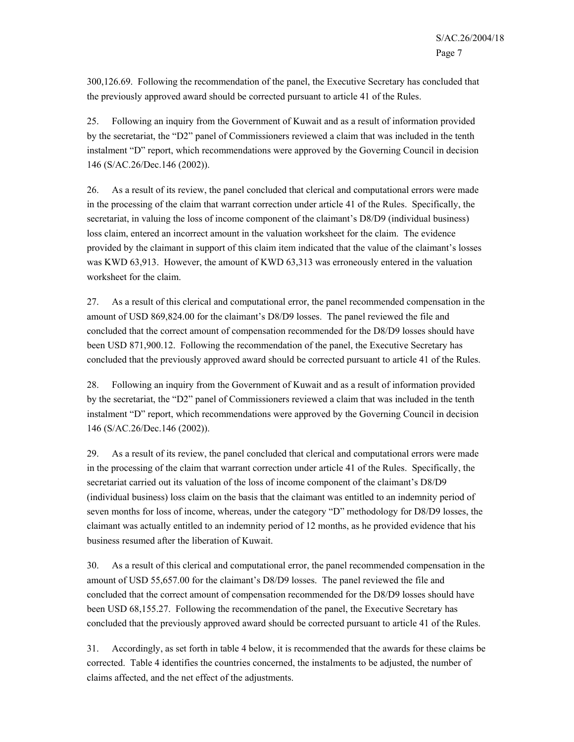300,126.69. Following the recommendation of the panel, the Executive Secretary has concluded that the previously approved award should be corrected pursuant to article 41 of the Rules.

25. Following an inquiry from the Government of Kuwait and as a result of information provided by the secretariat, the "D2" panel of Commissioners reviewed a claim that was included in the tenth instalment "D" report, which recommendations were approved by the Governing Council in decision 146 (S/AC.26/Dec.146 (2002)).

26. As a result of its review, the panel concluded that clerical and computational errors were made in the processing of the claim that warrant correction under article 41 of the Rules. Specifically, the secretariat, in valuing the loss of income component of the claimant's D8/D9 (individual business) loss claim, entered an incorrect amount in the valuation worksheet for the claim. The evidence provided by the claimant in support of this claim item indicated that the value of the claimant's losses was KWD 63,913. However, the amount of KWD 63,313 was erroneously entered in the valuation worksheet for the claim.

27. As a result of this clerical and computational error, the panel recommended compensation in the amount of USD 869,824.00 for the claimant's D8/D9 losses. The panel reviewed the file and concluded that the correct amount of compensation recommended for the D8/D9 losses should have been USD 871,900.12. Following the recommendation of the panel, the Executive Secretary has concluded that the previously approved award should be corrected pursuant to article 41 of the Rules.

28. Following an inquiry from the Government of Kuwait and as a result of information provided by the secretariat, the "D2" panel of Commissioners reviewed a claim that was included in the tenth instalment "D" report, which recommendations were approved by the Governing Council in decision 146 (S/AC.26/Dec.146 (2002)).

29. As a result of its review, the panel concluded that clerical and computational errors were made in the processing of the claim that warrant correction under article 41 of the Rules. Specifically, the secretariat carried out its valuation of the loss of income component of the claimant's D8/D9 (individual business) loss claim on the basis that the claimant was entitled to an indemnity period of seven months for loss of income, whereas, under the category "D" methodology for D8/D9 losses, the claimant was actually entitled to an indemnity period of 12 months, as he provided evidence that his business resumed after the liberation of Kuwait.

30. As a result of this clerical and computational error, the panel recommended compensation in the amount of USD 55,657.00 for the claimant's D8/D9 losses. The panel reviewed the file and concluded that the correct amount of compensation recommended for the D8/D9 losses should have been USD 68,155.27. Following the recommendation of the panel, the Executive Secretary has concluded that the previously approved award should be corrected pursuant to article 41 of the Rules.

31. Accordingly, as set forth in table 4 below, it is recommended that the awards for these claims be corrected. Table 4 identifies the countries concerned, the instalments to be adjusted, the number of claims affected, and the net effect of the adjustments.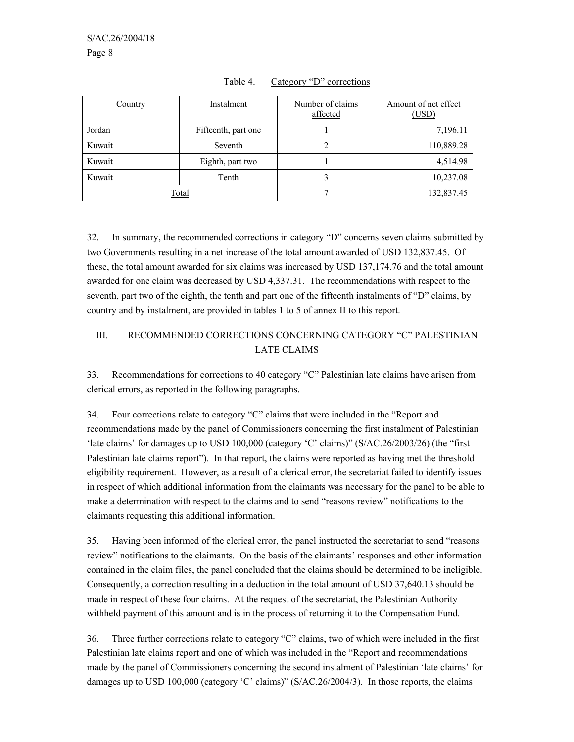| Country | Instalment          | Number of claims<br>affected | Amount of net effect<br>(USD) |
|---------|---------------------|------------------------------|-------------------------------|
| Jordan  | Fifteenth, part one |                              | 7,196.11                      |
| Kuwait  | Seventh             |                              | 110,889.28                    |
| Kuwait  | Eighth, part two    |                              | 4,514.98                      |
| Kuwait  | Tenth               |                              | 10,237.08                     |
|         | Total               |                              | 132,837.45                    |

Table 4. Category "D" corrections

32. In summary, the recommended corrections in category "D" concerns seven claims submitted by two Governments resulting in a net increase of the total amount awarded of USD 132,837.45. Of these, the total amount awarded for six claims was increased by USD 137,174.76 and the total amount awarded for one claim was decreased by USD 4,337.31. The recommendations with respect to the seventh, part two of the eighth, the tenth and part one of the fifteenth instalments of "D" claims, by country and by instalment, are provided in tables 1 to 5 of annex II to this report.

# III. RECOMMENDED CORRECTIONS CONCERNING CATEGORY "C" PALESTINIAN LATE CLAIMS

33. Recommendations for corrections to 40 category "C" Palestinian late claims have arisen from clerical errors, as reported in the following paragraphs.

34. Four corrections relate to category "C" claims that were included in the "Report and recommendations made by the panel of Commissioners concerning the first instalment of Palestinian 'late claims' for damages up to USD 100,000 (category 'C' claims)" (S/AC.26/2003/26) (the "first Palestinian late claims report"). In that report, the claims were reported as having met the threshold eligibility requirement. However, as a result of a clerical error, the secretariat failed to identify issues in respect of which additional information from the claimants was necessary for the panel to be able to make a determination with respect to the claims and to send "reasons review" notifications to the claimants requesting this additional information.

35. Having been informed of the clerical error, the panel instructed the secretariat to send "reasons review" notifications to the claimants. On the basis of the claimants' responses and other information contained in the claim files, the panel concluded that the claims should be determined to be ineligible. Consequently, a correction resulting in a deduction in the total amount of USD 37,640.13 should be made in respect of these four claims. At the request of the secretariat, the Palestinian Authority withheld payment of this amount and is in the process of returning it to the Compensation Fund.

36. Three further corrections relate to category "C" claims, two of which were included in the first Palestinian late claims report and one of which was included in the "Report and recommendations made by the panel of Commissioners concerning the second instalment of Palestinian 'late claims' for damages up to USD 100,000 (category 'C' claims)" (S/AC.26/2004/3). In those reports, the claims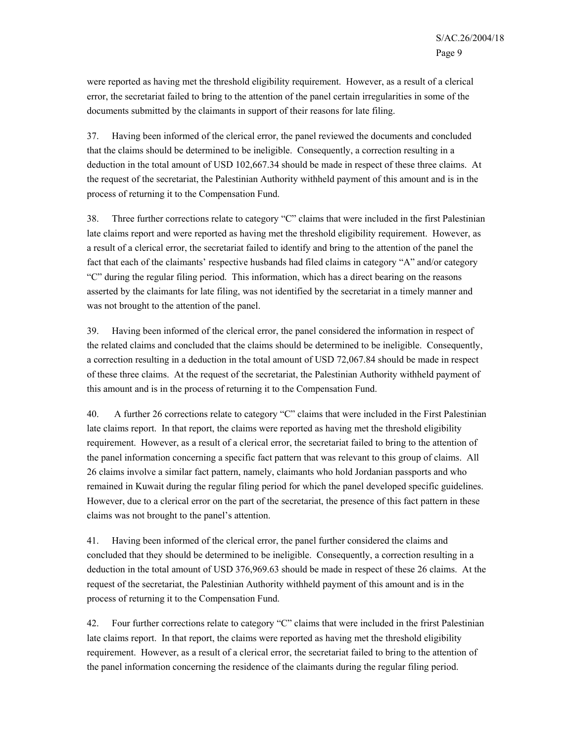were reported as having met the threshold eligibility requirement. However, as a result of a clerical error, the secretariat failed to bring to the attention of the panel certain irregularities in some of the documents submitted by the claimants in support of their reasons for late filing.

37. Having been informed of the clerical error, the panel reviewed the documents and concluded that the claims should be determined to be ineligible. Consequently, a correction resulting in a deduction in the total amount of USD 102,667.34 should be made in respect of these three claims. At the request of the secretariat, the Palestinian Authority withheld payment of this amount and is in the process of returning it to the Compensation Fund.

38. Three further corrections relate to category "C" claims that were included in the first Palestinian late claims report and were reported as having met the threshold eligibility requirement. However, as a result of a clerical error, the secretariat failed to identify and bring to the attention of the panel the fact that each of the claimants' respective husbands had filed claims in category "A" and/or category "C" during the regular filing period. This information, which has a direct bearing on the reasons asserted by the claimants for late filing, was not identified by the secretariat in a timely manner and was not brought to the attention of the panel.

39. Having been informed of the clerical error, the panel considered the information in respect of the related claims and concluded that the claims should be determined to be ineligible. Consequently, a correction resulting in a deduction in the total amount of USD 72,067.84 should be made in respect of these three claims. At the request of the secretariat, the Palestinian Authority withheld payment of this amount and is in the process of returning it to the Compensation Fund.

40. A further 26 corrections relate to category "C" claims that were included in the First Palestinian late claims report. In that report, the claims were reported as having met the threshold eligibility requirement. However, as a result of a clerical error, the secretariat failed to bring to the attention of the panel information concerning a specific fact pattern that was relevant to this group of claims. All 26 claims involve a similar fact pattern, namely, claimants who hold Jordanian passports and who remained in Kuwait during the regular filing period for which the panel developed specific guidelines. However, due to a clerical error on the part of the secretariat, the presence of this fact pattern in these claims was not brought to the panel's attention.

41. Having been informed of the clerical error, the panel further considered the claims and concluded that they should be determined to be ineligible. Consequently, a correction resulting in a deduction in the total amount of USD 376,969.63 should be made in respect of these 26 claims. At the request of the secretariat, the Palestinian Authority withheld payment of this amount and is in the process of returning it to the Compensation Fund.

42. Four further corrections relate to category "C" claims that were included in the frirst Palestinian late claims report. In that report, the claims were reported as having met the threshold eligibility requirement. However, as a result of a clerical error, the secretariat failed to bring to the attention of the panel information concerning the residence of the claimants during the regular filing period.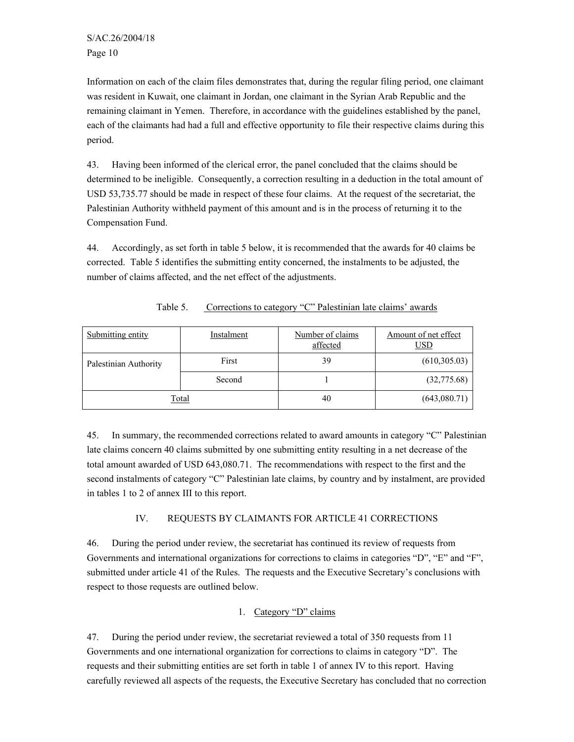Information on each of the claim files demonstrates that, during the regular filing period, one claimant was resident in Kuwait, one claimant in Jordan, one claimant in the Syrian Arab Republic and the remaining claimant in Yemen. Therefore, in accordance with the guidelines established by the panel, each of the claimants had had a full and effective opportunity to file their respective claims during this period.

43. Having been informed of the clerical error, the panel concluded that the claims should be determined to be ineligible. Consequently, a correction resulting in a deduction in the total amount of USD 53,735.77 should be made in respect of these four claims. At the request of the secretariat, the Palestinian Authority withheld payment of this amount and is in the process of returning it to the Compensation Fund.

44. Accordingly, as set forth in table 5 below, it is recommended that the awards for 40 claims be corrected. Table 5 identifies the submitting entity concerned, the instalments to be adjusted, the number of claims affected, and the net effect of the adjustments.

| Submitting entity     | Instalment   | Number of claims<br>affected | Amount of net effect<br>USD |
|-----------------------|--------------|------------------------------|-----------------------------|
| Palestinian Authority | First        | 39                           | (610, 305.03)               |
|                       | Second       |                              | (32,775.68)                 |
|                       | <u>Total</u> | 40                           | (643,080.71)                |

Table 5. Corrections to category "C" Palestinian late claims' awards

45. In summary, the recommended corrections related to award amounts in category "C" Palestinian late claims concern 40 claims submitted by one submitting entity resulting in a net decrease of the total amount awarded of USD 643,080.71. The recommendations with respect to the first and the second instalments of category "C" Palestinian late claims, by country and by instalment, are provided in tables 1 to 2 of annex III to this report.

### IV. REQUESTS BY CLAIMANTS FOR ARTICLE 41 CORRECTIONS

46. During the period under review, the secretariat has continued its review of requests from Governments and international organizations for corrections to claims in categories "D", "E" and "F", submitted under article 41 of the Rules. The requests and the Executive Secretary's conclusions with respect to those requests are outlined below.

### 1. Category "D" claims

47. During the period under review, the secretariat reviewed a total of 350 requests from 11 Governments and one international organization for corrections to claims in category "D". The requests and their submitting entities are set forth in table 1 of annex IV to this report. Having carefully reviewed all aspects of the requests, the Executive Secretary has concluded that no correction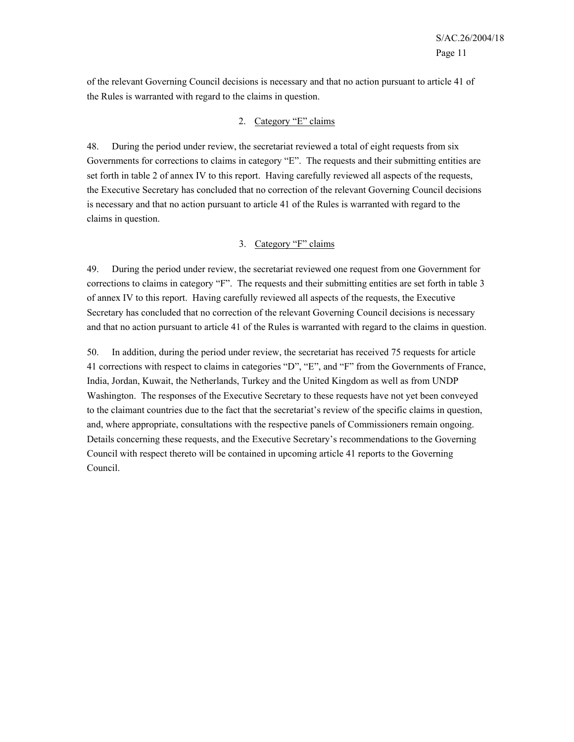of the relevant Governing Council decisions is necessary and that no action pursuant to article 41 of the Rules is warranted with regard to the claims in question.

#### 2. Category "E" claims

48. During the period under review, the secretariat reviewed a total of eight requests from six Governments for corrections to claims in category "E". The requests and their submitting entities are set forth in table 2 of annex IV to this report. Having carefully reviewed all aspects of the requests, the Executive Secretary has concluded that no correction of the relevant Governing Council decisions is necessary and that no action pursuant to article 41 of the Rules is warranted with regard to the claims in question.

#### 3. Category "F" claims

49. During the period under review, the secretariat reviewed one request from one Government for corrections to claims in category "F". The requests and their submitting entities are set forth in table 3 of annex IV to this report. Having carefully reviewed all aspects of the requests, the Executive Secretary has concluded that no correction of the relevant Governing Council decisions is necessary and that no action pursuant to article 41 of the Rules is warranted with regard to the claims in question.

50. In addition, during the period under review, the secretariat has received 75 requests for article 41 corrections with respect to claims in categories "D", "E", and "F" from the Governments of France, India, Jordan, Kuwait, the Netherlands, Turkey and the United Kingdom as well as from UNDP Washington. The responses of the Executive Secretary to these requests have not yet been conveyed to the claimant countries due to the fact that the secretariat's review of the specific claims in question, and, where appropriate, consultations with the respective panels of Commissioners remain ongoing. Details concerning these requests, and the Executive Secretary's recommendations to the Governing Council with respect thereto will be contained in upcoming article 41 reports to the Governing Council.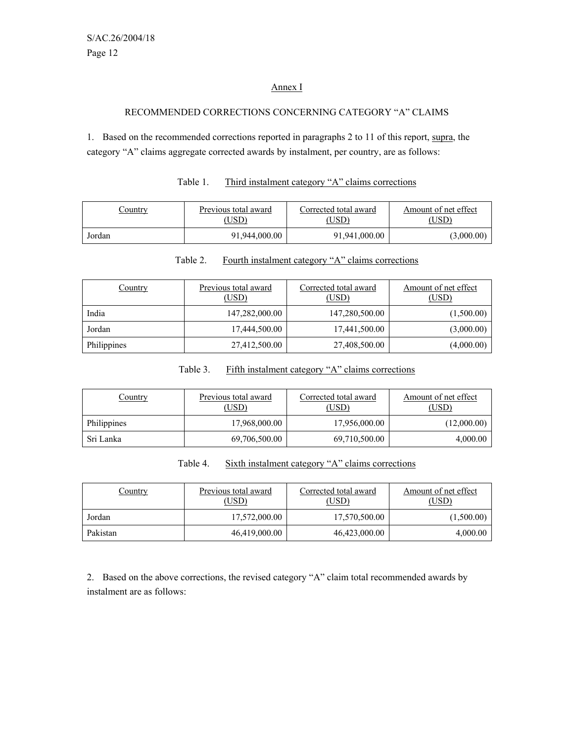#### Annex I

#### RECOMMENDED CORRECTIONS CONCERNING CATEGORY "A" CLAIMS

1. Based on the recommended corrections reported in paragraphs 2 to 11 of this report, supra, the category "A" claims aggregate corrected awards by instalment, per country, are as follows:

| Country | Previous total award<br>(USD) | Corrected total award<br>(USD | Amount of net effect<br>USD). |
|---------|-------------------------------|-------------------------------|-------------------------------|
| Jordan  | 91,944,000.00                 | 91,941,000.00                 | (3,000.00)                    |

# Table 1. Third instalment category "A" claims corrections

| Country     | Previous total award<br>(USD) | Corrected total award<br><u>(USD)</u> | Amount of net effect<br>(USD) |
|-------------|-------------------------------|---------------------------------------|-------------------------------|
| India       | 147,282,000.00                | 147,280,500.00                        | (1,500.00)                    |
| Jordan      | 17,444,500.00                 | 17,441,500.00                         | (3,000.00)                    |
| Philippines | 27,412,500.00                 | 27,408,500.00                         | (4,000.00)                    |

#### Table 2. Fourth instalment category "A" claims corrections

#### Table 3. Fifth instalment category "A" claims corrections

| <u>Country</u> | Previous total award<br>(USD) | Corrected total award<br>(USD) | Amount of net effect<br>(USD) |
|----------------|-------------------------------|--------------------------------|-------------------------------|
| Philippines    | 17,968,000.00                 | 17,956,000.00                  | (12,000.00)                   |
| Sri Lanka      | 69,706,500.00                 | 69,710,500.00                  | 4,000.00                      |

| Table 4. | Sixth instalment category "A" claims corrections |  |
|----------|--------------------------------------------------|--|
|          |                                                  |  |

| <u>Country</u> | Previous total award<br>(USD) | Corrected total award<br>(USD) | Amount of net effect<br>(USD) |
|----------------|-------------------------------|--------------------------------|-------------------------------|
| Jordan         | 17,572,000.00                 | 17,570,500.00                  | (1,500.00)                    |
| Pakistan       | 46,419,000.00                 | 46,423,000.00                  | 4,000.00                      |

2. Based on the above corrections, the revised category "A" claim total recommended awards by instalment are as follows: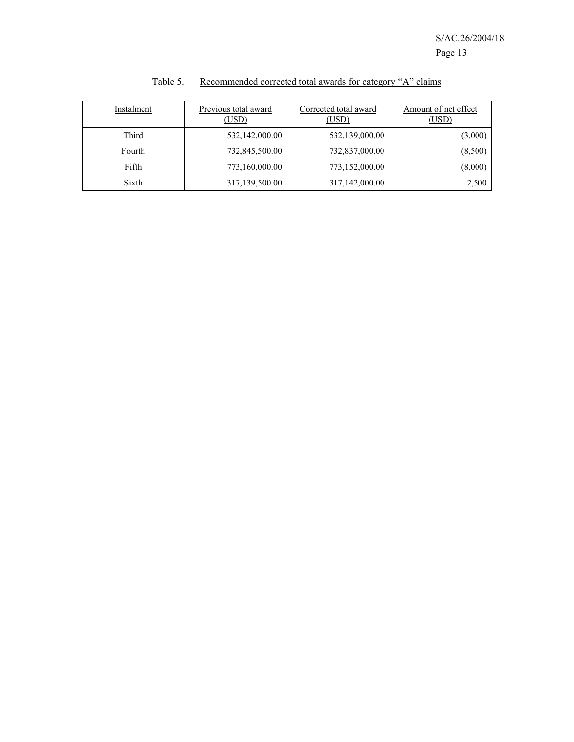| Instalment | Previous total award<br>(USD) | Corrected total award<br>(USD) | Amount of net effect<br>(USD) |
|------------|-------------------------------|--------------------------------|-------------------------------|
| Third      | 532,142,000.00                | 532,139,000.00                 | (3,000)                       |
| Fourth     | 732,845,500.00                | 732,837,000.00                 | (8,500)                       |
| Fifth      | 773,160,000.00                | 773,152,000.00                 | (8,000)                       |
| Sixth      | 317,139,500.00                | 317,142,000.00                 | 2,500                         |

# Table 5. Recommended corrected total awards for category "A" claims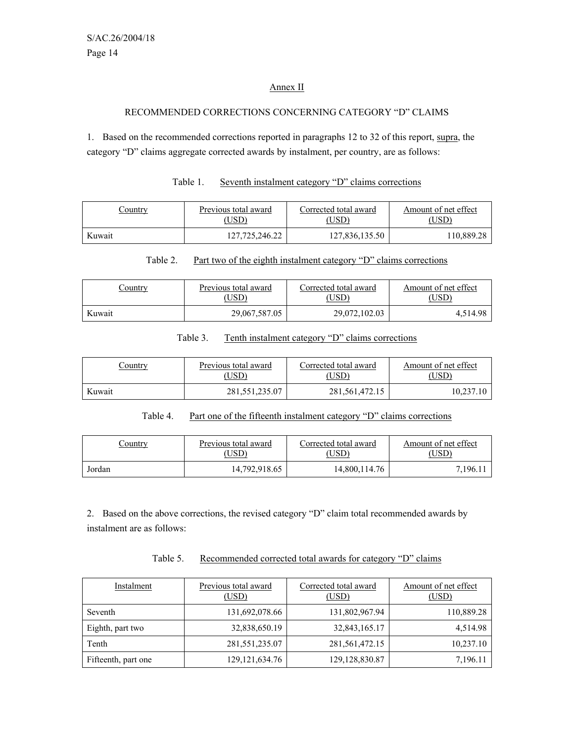#### Annex II

#### RECOMMENDED CORRECTIONS CONCERNING CATEGORY "D" CLAIMS

1. Based on the recommended corrections reported in paragraphs 12 to 32 of this report, supra, the category "D" claims aggregate corrected awards by instalment, per country, are as follows:

| Table 1. | Seventh instalment category "D" claims corrections |
|----------|----------------------------------------------------|
|          |                                                    |

| <u>Sountry</u> | Previous total award | Corrected total award | Amount of net effect |  |
|----------------|----------------------|-----------------------|----------------------|--|
|                | (USD)                | USD).                 | USD)                 |  |
| Kuwait         | 127,725,246.22       | 127,836,135.50        | 110.889.28           |  |

#### Table 2. Part two of the eighth instalment category "D" claims corrections

| <u>Sountry</u> | Previous total award | Corrected total award | Amount of net effect |  |
|----------------|----------------------|-----------------------|----------------------|--|
|                | USD <sup>)</sup>     | USD)                  | 'USD                 |  |
| Kuwait         | 29,067,587.05        | 29,072,102.03         | 4,514.98             |  |

#### Table 3. Tenth instalment category "D" claims corrections

| <u>Country</u> | Previous total award | Corrected total award | Amount of net effect |  |
|----------------|----------------------|-----------------------|----------------------|--|
|                | USD).                | USD)                  | ,USD)                |  |
| Kuwait         | 281,551,235.07       | 281, 561, 472, 15     | 10,237.10            |  |

#### Table 4. Part one of the fifteenth instalment category "D" claims corrections

| Country | Previous total award | Corrected total award | Amount of net effect |  |
|---------|----------------------|-----------------------|----------------------|--|
|         | USD)                 | USD <sup>3</sup>      | USD`                 |  |
| Jordan  | 14.792.918.65        | 14,800,114.76         | 7.196.1              |  |

2. Based on the above corrections, the revised category "D" claim total recommended awards by instalment are as follows:

| Table 5. | Recommended corrected total awards for category "D" claims |  |  |  |
|----------|------------------------------------------------------------|--|--|--|
|          |                                                            |  |  |  |

| Instalment          | Previous total award<br>(USD) | Corrected total award<br>(USD) | Amount of net effect<br>(USD) |
|---------------------|-------------------------------|--------------------------------|-------------------------------|
| Seventh             | 131,692,078.66                | 131,802,967.94                 | 110,889.28                    |
| Eighth, part two    | 32,838,650.19                 | 32,843,165.17                  | 4,514.98                      |
| Tenth               | 281, 551, 235. 07             | 281,561,472.15                 | 10,237.10                     |
| Fifteenth, part one | 129, 121, 634. 76             | 129, 128, 830. 87              | 7,196.11                      |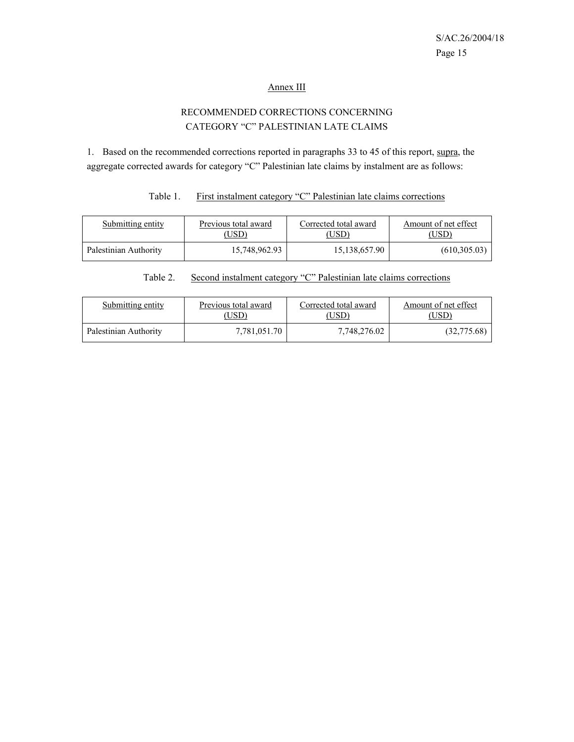#### Annex III

# RECOMMENDED CORRECTIONS CONCERNING CATEGORY "C" PALESTINIAN LATE CLAIMS

1. Based on the recommended corrections reported in paragraphs 33 to 45 of this report, supra, the aggregate corrected awards for category "C" Palestinian late claims by instalment are as follows:

#### Table 1. First instalment category "C" Palestinian late claims corrections

| Submitting entity     | Previous total award | Corrected total award | Amount of net effect |
|-----------------------|----------------------|-----------------------|----------------------|
|                       | , USD)               | USD)                  | USD)                 |
| Palestinian Authority | 15,748,962.93        | 15, 138, 657. 90      | (610, 305, 03)       |

# Table 2. Second instalment category "C" Palestinian late claims corrections

| Submitting entity     | Previous total award<br>USD) | Corrected total award<br>USD) | Amount of net effect |  |
|-----------------------|------------------------------|-------------------------------|----------------------|--|
| Palestinian Authority | 7,781,051.70                 | 7,748,276.02                  | (32,775.68)          |  |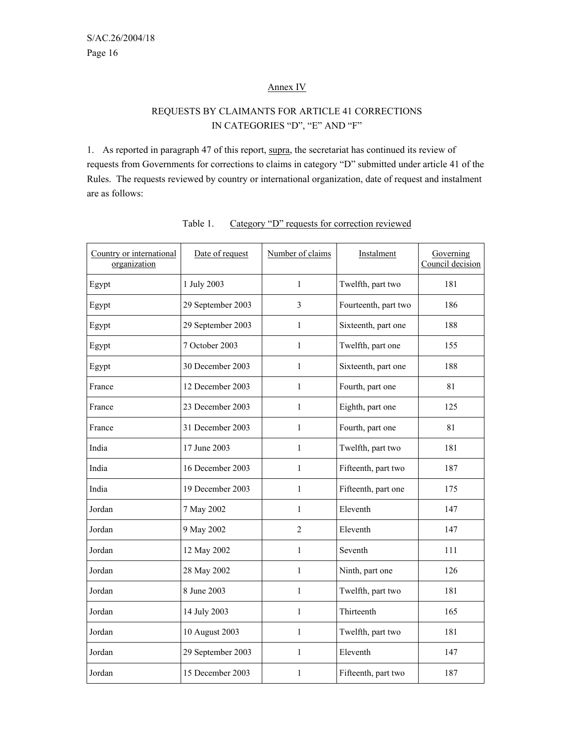#### Annex IV

# REQUESTS BY CLAIMANTS FOR ARTICLE 41 CORRECTIONS IN CATEGORIES "D", "E" AND "F"

1. As reported in paragraph 47 of this report, supra, the secretariat has continued its review of requests from Governments for corrections to claims in category "D" submitted under article 41 of the Rules. The requests reviewed by country or international organization, date of request and instalment are as follows:

| Country or international<br>organization | Date of request   | Number of claims | Instalment           | Governing<br>Council decision |
|------------------------------------------|-------------------|------------------|----------------------|-------------------------------|
| Egypt                                    | 1 July 2003       | $\mathbf{1}$     | Twelfth, part two    | 181                           |
| Egypt                                    | 29 September 2003 | 3                | Fourteenth, part two | 186                           |
| Egypt                                    | 29 September 2003 | $\mathbf{1}$     | Sixteenth, part one  | 188                           |
| Egypt                                    | 7 October 2003    | $\mathbf{1}$     | Twelfth, part one    | 155                           |
| Egypt                                    | 30 December 2003  | $\mathbf{1}$     | Sixteenth, part one  | 188                           |
| France                                   | 12 December 2003  | $\mathbf{1}$     | Fourth, part one     | 81                            |
| France                                   | 23 December 2003  | $\mathbf{1}$     | Eighth, part one     | 125                           |
| France                                   | 31 December 2003  | $\mathbf{1}$     | Fourth, part one     | 81                            |
| India                                    | 17 June 2003      | $\mathbf{1}$     | Twelfth, part two    | 181                           |
| India                                    | 16 December 2003  | $\mathbf{1}$     | Fifteenth, part two  | 187                           |
| India                                    | 19 December 2003  | $\mathbf{1}$     | Fifteenth, part one  | 175                           |
| Jordan                                   | 7 May 2002        | 1                | Eleventh             | 147                           |
| Jordan                                   | 9 May 2002        | $\overline{2}$   | Eleventh             | 147                           |
| Jordan                                   | 12 May 2002       | 1                | Seventh              | 111                           |
| Jordan                                   | 28 May 2002       | $\mathbf{1}$     | Ninth, part one      | 126                           |
| Jordan                                   | 8 June 2003       | $\mathbf{1}$     | Twelfth, part two    | 181                           |
| Jordan                                   | 14 July 2003      | $\mathbf{1}$     | Thirteenth           | 165                           |
| Jordan                                   | 10 August 2003    | $\mathbf{1}$     | Twelfth, part two    | 181                           |
| Jordan                                   | 29 September 2003 | $\mathbf{1}$     | Eleventh             | 147                           |
| Jordan                                   | 15 December 2003  | $\mathbf{1}$     | Fifteenth, part two  | 187                           |

| Table 1. |  |  | Category "D" requests for correction reviewed |  |
|----------|--|--|-----------------------------------------------|--|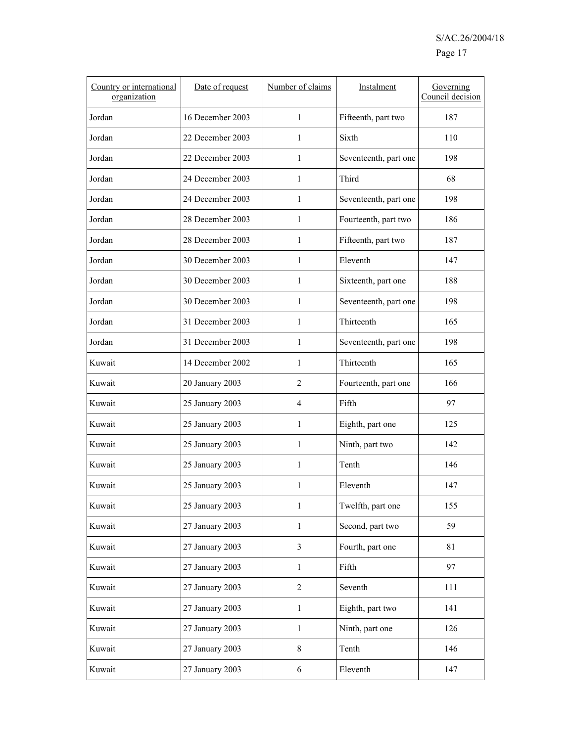| Country or international<br>organization | Date of request  | Number of claims | Instalment            | Governing<br>Council decision |
|------------------------------------------|------------------|------------------|-----------------------|-------------------------------|
| Jordan                                   | 16 December 2003 | 1                | Fifteenth, part two   | 187                           |
| Jordan                                   | 22 December 2003 | $\mathbf{1}$     | Sixth                 | 110                           |
| Jordan                                   | 22 December 2003 | 1                | Seventeenth, part one | 198                           |
| Jordan                                   | 24 December 2003 | $\mathbf{1}$     | Third                 | 68                            |
| Jordan                                   | 24 December 2003 | $\mathbf{1}$     | Seventeenth, part one | 198                           |
| Jordan                                   | 28 December 2003 | 1                | Fourteenth, part two  | 186                           |
| Jordan                                   | 28 December 2003 | 1                | Fifteenth, part two   | 187                           |
| Jordan                                   | 30 December 2003 | $\mathbf{1}$     | Eleventh              | 147                           |
| Jordan                                   | 30 December 2003 | $\mathbf{1}$     | Sixteenth, part one   | 188                           |
| Jordan                                   | 30 December 2003 | 1                | Seventeenth, part one | 198                           |
| Jordan                                   | 31 December 2003 | 1                | Thirteenth            | 165                           |
| Jordan                                   | 31 December 2003 | 1                | Seventeenth, part one | 198                           |
| Kuwait                                   | 14 December 2002 | $\mathbf{1}$     | Thirteenth            | 165                           |
| Kuwait                                   | 20 January 2003  | $\overline{2}$   | Fourteenth, part one  | 166                           |
| Kuwait                                   | 25 January 2003  | $\overline{4}$   | Fifth                 | 97                            |
| Kuwait                                   | 25 January 2003  | 1                | Eighth, part one      | 125                           |
| Kuwait                                   | 25 January 2003  | 1                | Ninth, part two       | 142                           |
| Kuwait                                   | 25 January 2003  | 1                | Tenth                 | 146                           |
| Kuwait                                   | 25 January 2003  | $\mathbf{1}$     | Eleventh              | 147                           |
| Kuwait                                   | 25 January 2003  | $\mathbf{1}$     | Twelfth, part one     | 155                           |
| Kuwait                                   | 27 January 2003  | $\mathbf{1}$     | Second, part two      | 59                            |
| Kuwait                                   | 27 January 2003  | $\overline{3}$   | Fourth, part one      | 81                            |
| Kuwait                                   | 27 January 2003  | $\mathbf{1}$     | Fifth                 | 97                            |
| Kuwait                                   | 27 January 2003  | $\overline{2}$   | Seventh               | 111                           |
| Kuwait                                   | 27 January 2003  | $\mathbf{1}$     | Eighth, part two      | 141                           |
| Kuwait                                   | 27 January 2003  | $\mathbf{1}$     | Ninth, part one       | 126                           |
| Kuwait                                   | 27 January 2003  | 8                | Tenth                 | 146                           |
| Kuwait                                   | 27 January 2003  | 6                | Eleventh              | 147                           |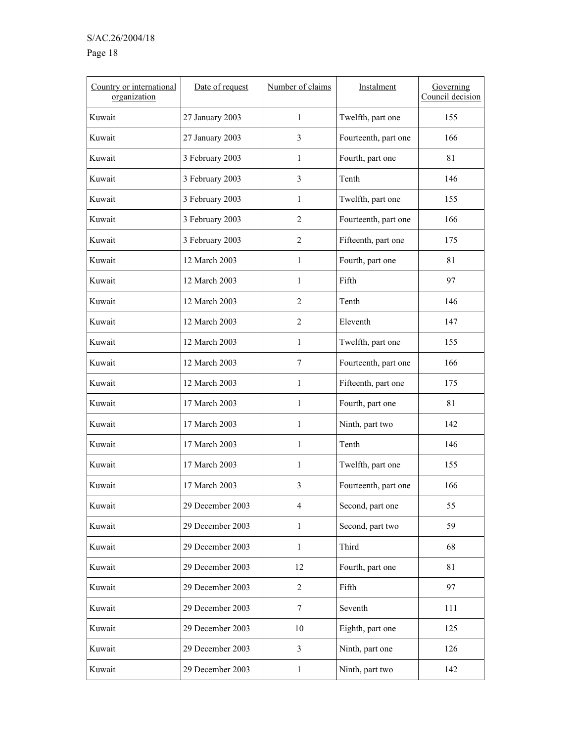# S/AC.26/2004/18

# Page 18

| Country or international<br>organization | Date of request  | Number of claims        | Instalment           | Governing<br>Council decision |
|------------------------------------------|------------------|-------------------------|----------------------|-------------------------------|
| Kuwait                                   | 27 January 2003  | 1                       | Twelfth, part one    | 155                           |
| Kuwait                                   | 27 January 2003  | 3                       | Fourteenth, part one | 166                           |
| Kuwait                                   | 3 February 2003  | $\mathbf{1}$            | Fourth, part one     | 81                            |
| Kuwait                                   | 3 February 2003  | 3                       | Tenth                | 146                           |
| Kuwait                                   | 3 February 2003  | 1                       | Twelfth, part one    | 155                           |
| Kuwait                                   | 3 February 2003  | $\overline{2}$          | Fourteenth, part one | 166                           |
| Kuwait                                   | 3 February 2003  | $\overline{2}$          | Fifteenth, part one  | 175                           |
| Kuwait                                   | 12 March 2003    | $\mathbf{1}$            | Fourth, part one     | 81                            |
| Kuwait                                   | 12 March 2003    | 1                       | Fifth                | 97                            |
| Kuwait                                   | 12 March 2003    | $\overline{2}$          | Tenth                | 146                           |
| Kuwait                                   | 12 March 2003    | $\overline{2}$          | Eleventh             | 147                           |
| Kuwait                                   | 12 March 2003    | $\mathbf{1}$            | Twelfth, part one    | 155                           |
| Kuwait                                   | 12 March 2003    | 7                       | Fourteenth, part one | 166                           |
| Kuwait                                   | 12 March 2003    | 1                       | Fifteenth, part one  | 175                           |
| Kuwait                                   | 17 March 2003    | $\mathbf{1}$            | Fourth, part one     | 81                            |
| Kuwait                                   | 17 March 2003    | $\mathbf{1}$            | Ninth, part two      | 142                           |
| Kuwait                                   | 17 March 2003    | 1                       | Tenth                | 146                           |
| Kuwait                                   | 17 March 2003    | 1                       | Twelfth, part one    | 155                           |
| Kuwait                                   | 17 March 2003    | 3                       | Fourteenth, part one | 166                           |
| Kuwait                                   | 29 December 2003 | $\overline{4}$          | Second, part one     | 55                            |
| Kuwait                                   | 29 December 2003 | 1                       | Second, part two     | 59                            |
| Kuwait                                   | 29 December 2003 | $\mathbf{1}$            | Third                | 68                            |
| Kuwait                                   | 29 December 2003 | 12                      | Fourth, part one     | 81                            |
| Kuwait                                   | 29 December 2003 | $\overline{2}$          | Fifth                | 97                            |
| Kuwait                                   | 29 December 2003 | $\tau$                  | Seventh              | 111                           |
| Kuwait                                   | 29 December 2003 | $10\,$                  | Eighth, part one     | 125                           |
| Kuwait                                   | 29 December 2003 | $\overline{\mathbf{3}}$ | Ninth, part one      | 126                           |
| Kuwait                                   | 29 December 2003 | $\mathbf{1}$            | Ninth, part two      | 142                           |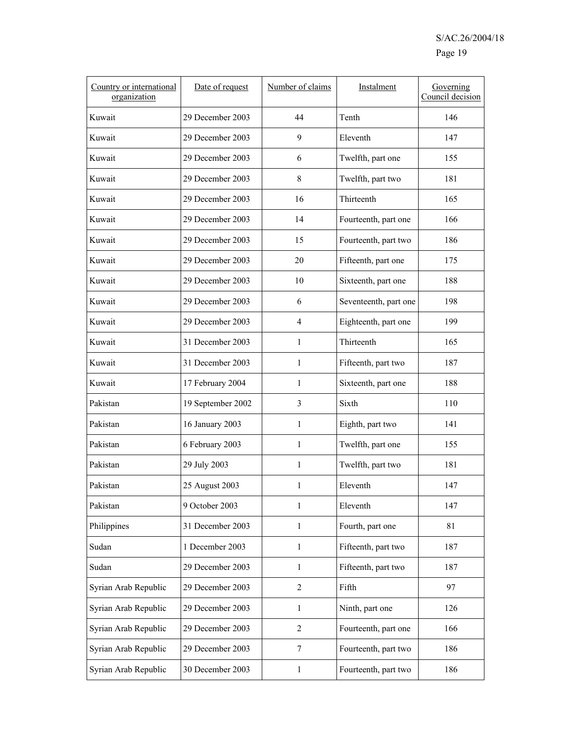| Country or international<br>organization | Date of request   | Number of claims | Instalment            | Governing<br>Council decision |
|------------------------------------------|-------------------|------------------|-----------------------|-------------------------------|
| Kuwait                                   | 29 December 2003  | 44               | Tenth                 | 146                           |
| Kuwait                                   | 29 December 2003  | 9                | Eleventh              | 147                           |
| Kuwait                                   | 29 December 2003  | 6                | Twelfth, part one     | 155                           |
| Kuwait                                   | 29 December 2003  | 8                | Twelfth, part two     | 181                           |
| Kuwait                                   | 29 December 2003  | 16               | Thirteenth            | 165                           |
| Kuwait                                   | 29 December 2003  | 14               | Fourteenth, part one  | 166                           |
| Kuwait                                   | 29 December 2003  | 15               | Fourteenth, part two  | 186                           |
| Kuwait                                   | 29 December 2003  | 20               | Fifteenth, part one   | 175                           |
| Kuwait                                   | 29 December 2003  | 10               | Sixteenth, part one   | 188                           |
| Kuwait                                   | 29 December 2003  | 6                | Seventeenth, part one | 198                           |
| Kuwait                                   | 29 December 2003  | 4                | Eighteenth, part one  | 199                           |
| Kuwait                                   | 31 December 2003  | 1                | Thirteenth            | 165                           |
| Kuwait                                   | 31 December 2003  | 1                | Fifteenth, part two   | 187                           |
| Kuwait                                   | 17 February 2004  | 1                | Sixteenth, part one   | 188                           |
| Pakistan                                 | 19 September 2002 | 3                | Sixth                 | 110                           |
| Pakistan                                 | 16 January 2003   | $\mathbf{1}$     | Eighth, part two      | 141                           |
| Pakistan                                 | 6 February 2003   | $\mathbf{1}$     | Twelfth, part one     | 155                           |
| Pakistan                                 | 29 July 2003      | $\mathbf{1}$     | Twelfth, part two     | 181                           |
| Pakistan                                 | 25 August 2003    | 1                | Eleventh              | 147                           |
| Pakistan                                 | 9 October 2003    | $\mathbf{1}$     | Eleventh              | 147                           |
| Philippines                              | 31 December 2003  | $\mathbf{1}$     | Fourth, part one      | 81                            |
| Sudan                                    | 1 December 2003   | 1                | Fifteenth, part two   | 187                           |
| Sudan                                    | 29 December 2003  | $\mathbf{1}$     | Fifteenth, part two   | 187                           |
| Syrian Arab Republic                     | 29 December 2003  | $\overline{2}$   | Fifth                 | 97                            |
| Syrian Arab Republic                     | 29 December 2003  | 1                | Ninth, part one       | 126                           |
| Syrian Arab Republic                     | 29 December 2003  | $\overline{c}$   | Fourteenth, part one  | 166                           |
| Syrian Arab Republic                     | 29 December 2003  | 7                | Fourteenth, part two  | 186                           |
| Syrian Arab Republic                     | 30 December 2003  | $\mathbf{1}$     | Fourteenth, part two  | 186                           |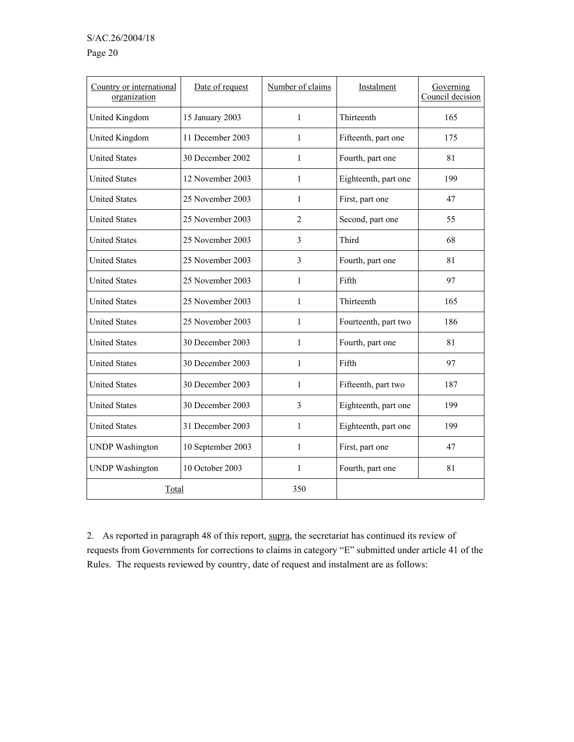### S/AC.26/2004/18

#### Page 20

| Country or international<br>organization | Date of request   | Number of claims | Instalment           | Governing<br>Council decision |  |
|------------------------------------------|-------------------|------------------|----------------------|-------------------------------|--|
| United Kingdom                           | 15 January 2003   | $\mathbf{1}$     | Thirteenth           | 165                           |  |
| United Kingdom                           | 11 December 2003  | 1                | Fifteenth, part one  | 175                           |  |
| <b>United States</b>                     | 30 December 2002  | $\mathbf{1}$     | Fourth, part one     | 81                            |  |
| <b>United States</b>                     | 12 November 2003  | 1                | Eighteenth, part one | 199                           |  |
| <b>United States</b>                     | 25 November 2003  | 1                | First, part one      | 47                            |  |
| <b>United States</b>                     | 25 November 2003  | 2                | Second, part one     | 55                            |  |
| <b>United States</b>                     | 25 November 2003  | 3                | Third                | 68                            |  |
| <b>United States</b>                     | 25 November 2003  | 3                | Fourth, part one     | 81                            |  |
| <b>United States</b>                     | 25 November 2003  | 1                | Fifth                | 97                            |  |
| <b>United States</b>                     | 25 November 2003  | $\mathbf{1}$     | Thirteenth           | 165                           |  |
| <b>United States</b>                     | 25 November 2003  | 1                | Fourteenth, part two | 186                           |  |
| <b>United States</b>                     | 30 December 2003  | 1                | Fourth, part one     | 81                            |  |
| <b>United States</b>                     | 30 December 2003  | 1                | Fifth                | 97                            |  |
| <b>United States</b>                     | 30 December 2003  | $\mathbf{1}$     | Fifteenth, part two  | 187                           |  |
| <b>United States</b>                     | 30 December 2003  | 3                | Eighteenth, part one | 199                           |  |
| <b>United States</b>                     | 31 December 2003  | 1                | Eighteenth, part one | 199                           |  |
| <b>UNDP</b> Washington                   | 10 September 2003 | $\mathbf{1}$     | First, part one      | 47                            |  |
| <b>UNDP</b> Washington                   | 10 October 2003   | $\mathbf{1}$     | Fourth, part one     | 81                            |  |
| Total                                    |                   | 350              |                      |                               |  |

2. As reported in paragraph 48 of this report, supra, the secretariat has continued its review of requests from Governments for corrections to claims in category "E" submitted under article 41 of the Rules. The requests reviewed by country, date of request and instalment are as follows: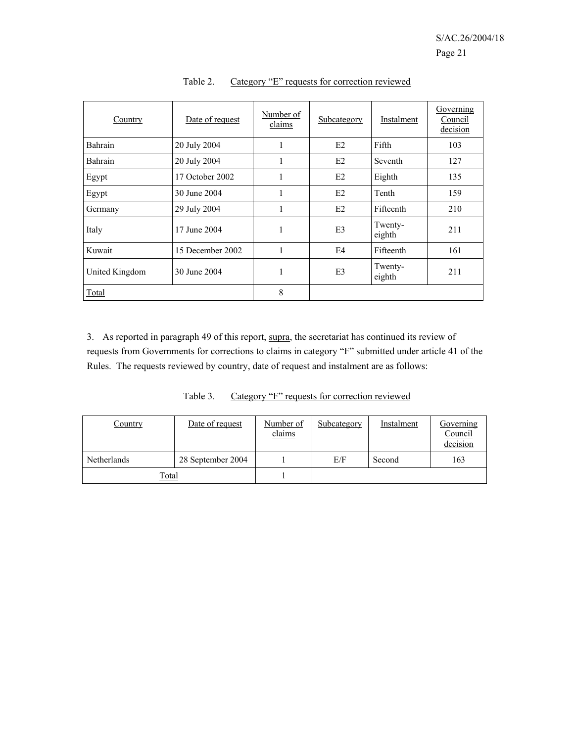| Country        | Date of request  | Number of<br>claims | Subcategory    | Instalment        | Governing<br>Council<br>decision |
|----------------|------------------|---------------------|----------------|-------------------|----------------------------------|
| Bahrain        | 20 July 2004     | 1                   | E2             | Fifth             | 103                              |
| Bahrain        | 20 July 2004     | 1                   | E2             | Seventh           | 127                              |
| Egypt          | 17 October 2002  | 1                   | E2             | Eighth            | 135                              |
| Egypt          | 30 June 2004     | 1                   | E2             | Tenth             | 159                              |
| Germany        | 29 July 2004     | 1                   | E2             | Fifteenth         | 210                              |
| Italy          | 17 June 2004     | 1                   | E <sub>3</sub> | Twenty-<br>eighth | 211                              |
| Kuwait         | 15 December 2002 | 1                   | E <sub>4</sub> | Fifteenth         | 161                              |
| United Kingdom | 30 June 2004     | 1                   | E <sub>3</sub> | Twenty-<br>eighth | 211                              |
| Total          |                  | 8                   |                |                   |                                  |

Table 2. Category "E" requests for correction reviewed

3. As reported in paragraph 49 of this report, supra, the secretariat has continued its review of requests from Governments for corrections to claims in category "F" submitted under article 41 of the Rules. The requests reviewed by country, date of request and instalment are as follows:

Table 3. Category "F" requests for correction reviewed

| Country      | Date of request   | Number of<br>claims | Subcategory | Instalment | Governing<br>Council<br>decision |
|--------------|-------------------|---------------------|-------------|------------|----------------------------------|
| Netherlands  | 28 September 2004 |                     | E/F         | Second     | 163                              |
| <b>Total</b> |                   |                     |             |            |                                  |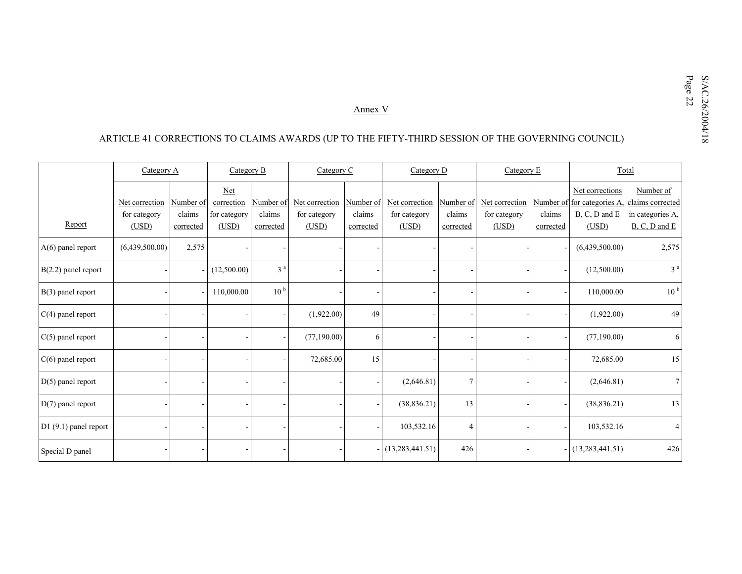# $\underbrace{\text{Annex $V}$\text{Amex $V$}}$  ARTICLE 41 CORRECTIONS TO CLAIMS AWARDS (UP TO THE FIFTY-THIRD SESSION OF THE GOVERNING COUNCIL)

|                       | Category A     |           | Category B               |                 | Category C     |                | Category D        |                | Category E     |           |                                                | Total                         |  |
|-----------------------|----------------|-----------|--------------------------|-----------------|----------------|----------------|-------------------|----------------|----------------|-----------|------------------------------------------------|-------------------------------|--|
|                       | Net correction | Number of | <b>Net</b><br>correction | Number of       | Net correction | Number of      | Net correction    | Number of      | Net correction |           | Net corrections<br>Number of for categories A. | Number of<br>claims corrected |  |
|                       | for category   | claims    | for category             | claims          | for category   | claims         | for category      | claims         | for category   | claims    | $B, C, D$ and $E$                              | in categories A.              |  |
| Report                | (USD)          | corrected | (USD)                    | corrected       | (USD)          | corrected      | (USD)             | corrected      | (USD)          | corrected | (USD)                                          | B, C, D and E                 |  |
| $A(6)$ panel report   | (6,439,500.00) | 2,575     |                          |                 |                |                |                   |                |                |           | (6,439,500.00)                                 | 2,575                         |  |
| $B(2.2)$ panel report |                |           | (12,500.00)              | 3 <sup>a</sup>  |                |                |                   |                |                |           | (12,500.00)                                    | 3 <sup>a</sup>                |  |
| B(3) panel report     |                |           | 110,000.00               | 10 <sup>b</sup> |                |                |                   |                |                |           | 110,000.00                                     | 10 <sup>b</sup>               |  |
| $C(4)$ panel report   |                |           |                          |                 | (1,922.00)     | 49             |                   |                |                |           | (1,922.00)                                     | 49                            |  |
| $C(5)$ panel report   |                |           |                          |                 | (77,190.00)    | 6              |                   |                |                |           | (77, 190.00)                                   | 6                             |  |
| $C(6)$ panel report   |                |           |                          |                 | 72,685.00      | 15             |                   |                |                |           | 72,685.00                                      | 15                            |  |
| $D(5)$ panel report   |                |           |                          |                 |                |                | (2,646.81)        | $\overline{7}$ |                |           | (2,646.81)                                     | $7\overline{ }$               |  |
| $D(7)$ panel report   |                |           |                          |                 |                |                | (38, 836.21)      | 13             |                |           | (38, 836.21)                                   | 13                            |  |
| D1 (9.1) panel report |                |           |                          |                 |                |                | 103,532.16        | $\overline{4}$ |                |           | 103,532.16                                     | $\overline{4}$                |  |
| Special D panel       |                |           |                          |                 |                | $\blacksquare$ | (13, 283, 441.51) | 426            |                |           | $-$ (13,283,441.51)                            | 426                           |  |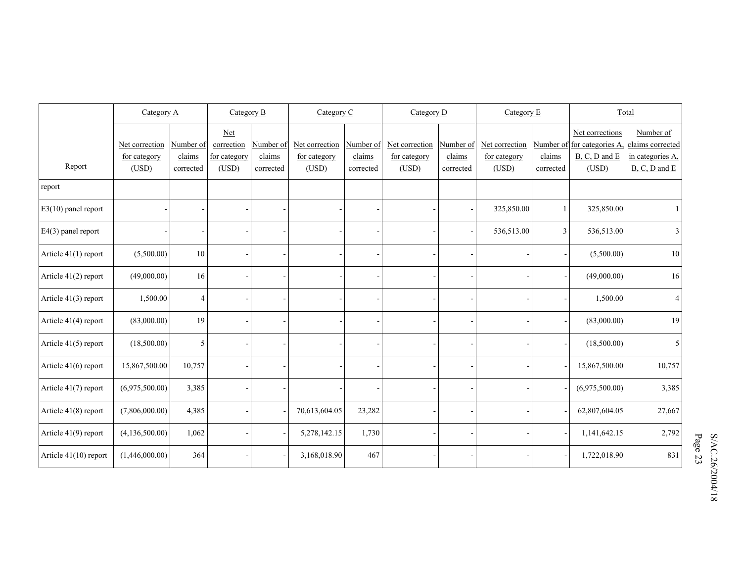|                       | Category A     |           | Category B        |           | Category C     |           | Category D     |           | Category E     |                | Total                                          |                               |
|-----------------------|----------------|-----------|-------------------|-----------|----------------|-----------|----------------|-----------|----------------|----------------|------------------------------------------------|-------------------------------|
|                       | Net correction | Number of | Net<br>correction | Number of | Net correction | Number of | Net correction | Number of | Net correction |                | Net corrections<br>Number of for categories A. | Number of<br>claims corrected |
|                       | for category   | claims    | for category      | claims    | for category   | claims    | for category   | claims    | for category   | claims         | $B, C, D$ and $E$                              | in categories A,              |
| Report                | (USD)          | corrected | (USD)             | corrected | (USD)          | corrected | (USD)          | corrected | (USD)          | corrected      | (USD)                                          | B, C, D and E                 |
| report                |                |           |                   |           |                |           |                |           |                |                |                                                |                               |
| $E3(10)$ panel report |                |           |                   |           |                |           |                |           | 325,850.00     | $\mathbf{1}$   | 325,850.00                                     |                               |
| $E4(3)$ panel report  |                |           |                   |           |                |           |                |           | 536,513.00     | $\mathfrak{Z}$ | 536,513.00                                     | $\mathfrak{Z}$                |
| Article 41(1) report  | (5,500.00)     | 10        |                   |           |                |           |                |           |                |                | (5,500.00)                                     | 10                            |
| Article 41(2) report  | (49,000.00)    | 16        |                   |           |                |           |                |           |                |                | (49,000.00)                                    | 16                            |
| Article 41(3) report  | 1,500.00       | 4         |                   |           |                |           |                |           |                |                | 1,500.00                                       | $\overline{4}$                |
| Article 41(4) report  | (83,000.00)    | 19        |                   |           |                |           |                |           |                |                | (83,000.00)                                    | 19                            |
| Article 41(5) report  | (18,500.00)    | 5         |                   |           |                |           |                |           |                |                | (18,500.00)                                    | 5                             |
| Article 41(6) report  | 15,867,500.00  | 10,757    |                   |           |                |           |                |           |                |                | 15,867,500.00                                  | 10,757                        |
| Article 41(7) report  | (6,975,500.00) | 3,385     |                   |           |                |           |                |           |                |                | (6,975,500.00)                                 | 3,385                         |
| Article 41(8) report  | (7,806,000.00) | 4,385     |                   |           | 70,613,604.05  | 23,282    |                |           |                |                | 62,807,604.05                                  | 27,667                        |
| Article 41(9) report  | (4,136,500.00) | 1,062     |                   |           | 5,278,142.15   | 1,730     |                |           |                |                | 1,141,642.15                                   | 2,792                         |
| Article 41(10) report | (1,446,000.00) | 364       |                   |           | 3,168,018.90   | 467       |                |           |                |                | 1,722,018.90                                   | 831                           |

 $S/\text{AC}.26/2004/18$ <br>Page 23 S/AC.26/2004/18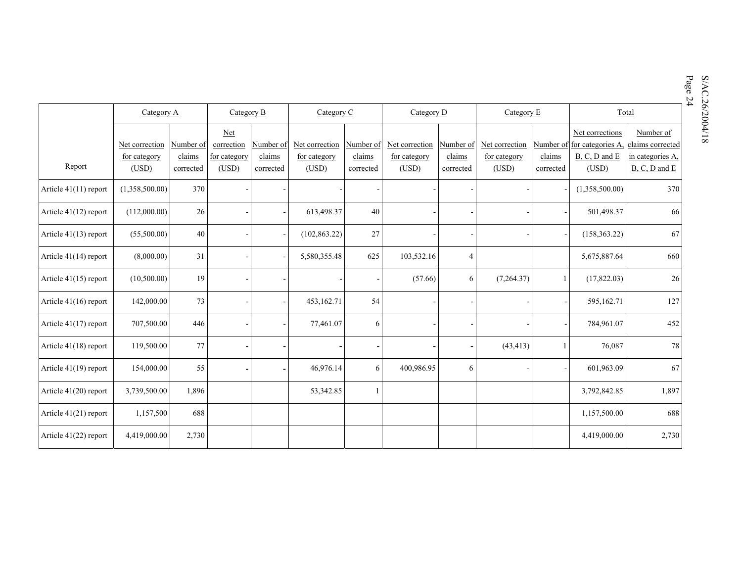|                         |                |           |              |           |                |            |                |                |                |              |                              |                                              | Page 24<br>S/AC.26/2004/18 |
|-------------------------|----------------|-----------|--------------|-----------|----------------|------------|----------------|----------------|----------------|--------------|------------------------------|----------------------------------------------|----------------------------|
|                         | Category A     |           | Category B   |           |                | Category C |                | Category D     |                | Category E   | Total                        |                                              |                            |
|                         |                |           | Net          |           |                |            |                |                |                |              | Net corrections<br>Number of |                                              |                            |
|                         | Net correction | Number of | correction   | Number of | Net correction | Number of  | Net correction | Number of      | Net correction |              |                              | Number of for categories A, claims corrected |                            |
|                         | for category   | claims    | for category | claims    | for category   | claims     | for category   | claims         | for category   | claims       | $B, C, D$ and $E$            | in categories A,                             |                            |
| Report                  | (USD)          | corrected | (USD)        | corrected | (USD)          | corrected  | (USD)          | corrected      | (USD)          | corrected    | (USD)                        | $B, C, D$ and $E$                            |                            |
| Article $41(11)$ report | (1,358,500.00) | 370       |              |           |                |            |                |                |                |              | (1,358,500.00)               | 370                                          |                            |
| Article $41(12)$ report | (112,000.00)   | $26\,$    |              |           | 613,498.37     | 40         |                |                |                |              | 501,498.37                   | 66                                           |                            |
| Article $41(13)$ report | (55,500.00)    | 40        |              |           | (102, 863.22)  | 27         |                |                |                |              | (158, 363.22)                | 67                                           |                            |
| Article $41(14)$ report | (8,000.00)     | 31        |              |           | 5,580,355.48   | 625        | 103,532.16     | $\overline{4}$ |                |              | 5,675,887.64                 | 660                                          |                            |
| Article $41(15)$ report | (10,500.00)    | 19        |              |           |                |            | (57.66)        | 6              | (7,264.37)     | $\mathbf{1}$ | (17,822.03)                  | 26                                           |                            |
| Article 41(16) report   | 142,000.00     | 73        |              |           | 453,162.71     | 54         |                |                |                |              | 595,162.71                   | 127                                          |                            |
| Article $41(17)$ report | 707,500.00     | 446       |              |           | 77,461.07      | 6          |                |                |                |              | 784,961.07                   | 452                                          |                            |
| Article 41(18) report   | 119,500.00     | 77        |              |           |                |            |                |                | (43, 413)      |              | 76,087                       | 78                                           |                            |
| Article 41(19) report   | 154,000.00     | 55        |              |           | 46,976.14      | 6          | 400,986.95     | 6              |                |              | 601,963.09                   | 67                                           |                            |
| Article $41(20)$ report | 3,739,500.00   | 1,896     |              |           | 53,342.85      |            |                |                |                |              | 3,792,842.85                 | 1,897                                        |                            |
| Article $41(21)$ report | 1,157,500      | 688       |              |           |                |            |                |                |                |              | 1,157,500.00                 | 688                                          |                            |
| Article 41(22) report   | 4,419,000.00   | 2,730     |              |           |                |            |                |                |                |              | 4,419,000.00                 | 2,730                                        |                            |